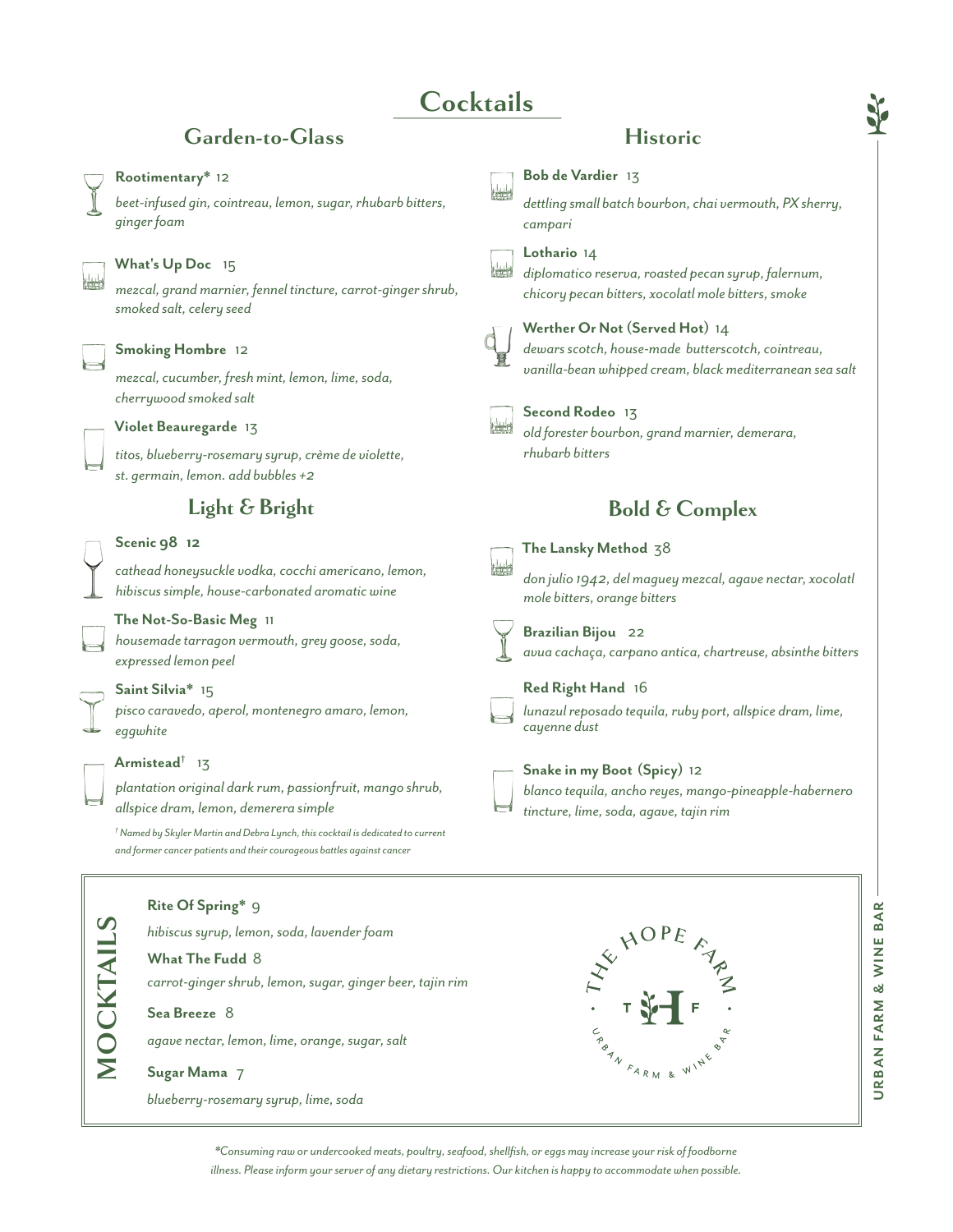# **Cocktails**

# Garden-to-Glass Historic

### **Rootimentary\*** 12

*beet-infused gin, cointreau, lemon, sugar, rhubarb bitters, ginger foam*



## **What's Up Doc** 15

*mezcal, grand marnier, fennel tincture, carrot-ginger shrub, smoked salt, celery seed*

#### **Smoking Hombre** 12

*mezcal, cucumber, fresh mint, lemon, lime, soda, cherrywood smoked salt*



*titos, blueberry-rosemary syrup, crème de violette, st. germain, lemon. add bubbles +2*

# **Light & Bright**

#### **Scenic 98 12**

*cathead honeysuckle vodka, cocchi americano, lemon, hibiscus simple, house-carbonated aromatic wine*

#### **The Not-So-Basic Meg** 11

*housemade tarragon vermouth, grey goose, soda, expressed lemon peel*

#### **Saint Silvia\*** 15

*pisco caravedo, aperol, montenegro amaro, lemon, eggwhite*



#### **Armistead†** 13

*plantation original dark rum, passionfruit, mango shrub, allspice dram, lemon, demerera simple*

*† Named by Skyler Martin and Debra Lynch, this cocktail is dedicated to current and former cancer patients and their courageous battles against cancer*

### **Rite Of Spring\*** 9 **MOCKTAILS MOCKTAILS** *hibiscus syrup, lemon, soda, lavender foam* **What The Fudd** 8 *carrot-ginger shrub, lemon, sugar, ginger beer, tajin rim* **Sea Breeze** 8 *agave nectar, lemon, lime, orange, sugar, salt* **Sugar Mama** 7

*blueberry-rosemary syrup, lime, soda*



**Bob de Vardier** 13 *dettling small batch bourbon, chai vermouth, PX sherry, campari* **Lothario** 14 *diplomatico reserva, roasted pecan syrup, falernum, chicory pecan bitters, xocolatl mole bitters, smoke* **Werther Or Not (Served Hot)** 14 *dewars scotch, house-made butterscotch, cointreau, vanilla-bean whipped cream, black mediterranean sea salt* **Second Rodeo** 13 *old forester bourbon, grand marnier, demerara, rhubarb bitters* **The Lansky Method** 38 *don julio 1942, del maguey mezcal, agave nectar, xocolatl mole bitters, orange bitters* **Brazilian Bijou** 22 *avua cachaça, carpano antica, chartreuse, absinthe bitters* **Red Right Hand** 16 *lunazul reposado tequila, ruby port, allspice dram, lime, cayenne dust* **Snake in my Boot (Spicy)** 12 *blanco tequila, ancho reyes, mango-pineapple-habernero tincture, lime, soda, agave, tajin rim*  **Bold & Complex**

*\*Consuming raw or undercooked meats, poultry, seafood, shellfish, or eggs may increase your risk of foodborne illness. Please inform your server of any dietary restrictions. Our kitchen is happy to accommodate when possible.*